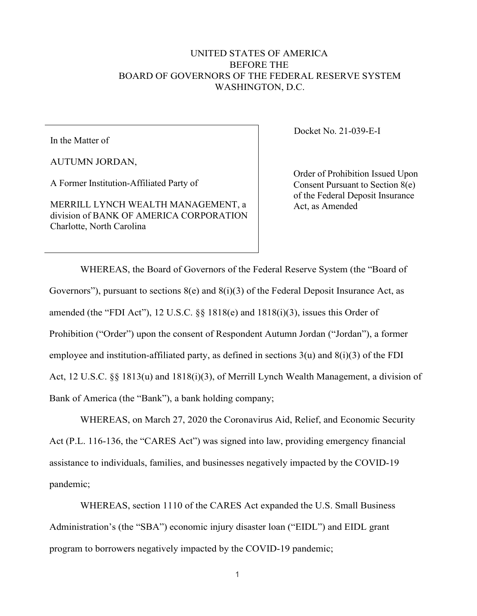## UNITED STATES OF AMERICA BEFORE THE BOARD OF GOVERNORS OF THE FEDERAL RESERVE SYSTEM WASHINGTON, D.C.

In the Matter of

AUTUMN JORDAN,

A Former Institution-Affiliated Party of

MERRILL LYNCH WEALTH MANAGEMENT, a division of BANK OF AMERICA CORPORATION Charlotte, North Carolina

Docket No. 21-039-E-I

Order of Prohibition Issued Upon Consent Pursuant to Section 8(e) of the Federal Deposit Insurance Act, as Amended

WHEREAS, the Board of Governors of the Federal Reserve System (the "Board of Governors"), pursuant to sections  $8(e)$  and  $8(i)(3)$  of the Federal Deposit Insurance Act, as amended (the "FDI Act"), 12 U.S.C. §§ 1818(e) and 1818(i)(3), issues this Order of Prohibition ("Order") upon the consent of Respondent Autumn Jordan ("Jordan"), a former employee and institution-affiliated party, as defined in sections  $3(u)$  and  $8(i)(3)$  of the FDI Act, 12 U.S.C. §§ 1813(u) and 1818(i)(3), of Merrill Lynch Wealth Management, a division of Bank of America (the "Bank"), a bank holding company;

WHEREAS, on March 27, 2020 the Coronavirus Aid, Relief, and Economic Security Act (P.L. 116-136, the "CARES Act") was signed into law, providing emergency financial assistance to individuals, families, and businesses negatively impacted by the COVID-19 pandemic;

WHEREAS, section 1110 of the CARES Act expanded the U.S. Small Business Administration's (the "SBA") economic injury disaster loan ("EIDL") and EIDL grant program to borrowers negatively impacted by the COVID-19 pandemic;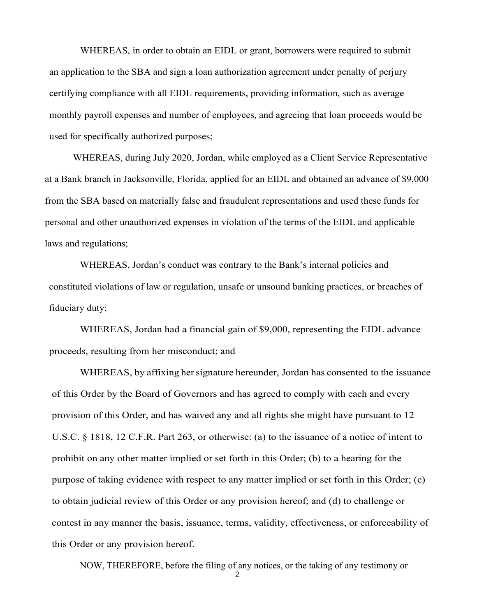WHEREAS, in order to obtain an EIDL or grant, borrowers were required to submit an application to the SBA and sign a loan authorization agreement under penalty of perjury certifying compliance with all EIDL requirements, providing information, such as average monthly payroll expenses and number of employees, and agreeing that loan proceeds would be used for specifically authorized purposes;

WHEREAS, during July 2020, Jordan, while employed as a Client Service Representative at a Bank branch in Jacksonville, Florida, applied for an EIDL and obtained an advance of \$9,000 from the SBA based on materially false and fraudulent representations and used these funds for personal and other unauthorized expenses in violation of the terms of the EIDL and applicable laws and regulations;

WHEREAS, Jordan's conduct was contrary to the Bank's internal policies and constituted violations of law or regulation, unsafe or unsound banking practices, or breaches of fiduciary duty;

WHEREAS, Jordan had a financial gain of \$9,000, representing the EIDL advance proceeds, resulting from her misconduct; and

WHEREAS, by affixing her signature hereunder, Jordan has consented to the issuance of this Order by the Board of Governors and has agreed to comply with each and every provision of this Order, and has waived any and all rights she might have pursuant to 12 U.S.C. § 1818, 12 C.F.R. Part 263, or otherwise: (a) to the issuance of a notice of intent to prohibit on any other matter implied or set forth in this Order; (b) to a hearing for the purpose of taking evidence with respect to any matter implied or set forth in this Order; (c) to obtain judicial review of this Order or any provision hereof; and (d) to challenge or contest in any manner the basis, issuance, terms, validity, effectiveness, or enforceability of this Order or any provision hereof.

NOW, THEREFORE, before the filing of any notices, or the taking of any testimony or

2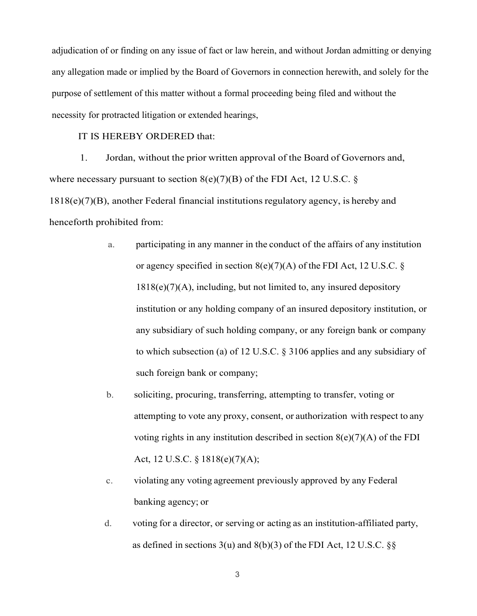adjudication of or finding on any issue of fact or law herein, and without Jordan admitting or denying any allegation made or implied by the Board of Governors in connection herewith, and solely for the purpose of settlement of this matter without a formal proceeding being filed and without the necessity for protracted litigation or extended hearings,

## IT IS HEREBY ORDERED that:

1. Jordan, without the prior written approval of the Board of Governors and, where necessary pursuant to section  $8(e)(7)(B)$  of the FDI Act, 12 U.S.C. § 1818(e)(7)(B), another Federal financial institutions regulatory agency, is hereby and henceforth prohibited from:

- a. participating in any manner in the conduct of the affairs of any institution or agency specified in section  $8(e)(7)(A)$  of the FDI Act, 12 U.S.C. §  $1818(e)(7)(A)$ , including, but not limited to, any insured depository institution or any holding company of an insured depository institution, or any subsidiary of such holding company, or any foreign bank or company to which subsection (a) of 12 U.S.C. § 3106 applies and any subsidiary of such foreign bank or company;
- b. soliciting, procuring, transferring, attempting to transfer, voting or attempting to vote any proxy, consent, or authorization with respect to any voting rights in any institution described in section  $8(e)(7)(A)$  of the FDI Act, 12 U.S.C. § 1818(e)(7)(A);
- c. violating any voting agreement previously approved by any Federal banking agency; or
- d. voting for a director, or serving or acting as an institution-affiliated party, as defined in sections  $3(u)$  and  $8(b)(3)$  of the FDI Act, 12 U.S.C.  $\S$ §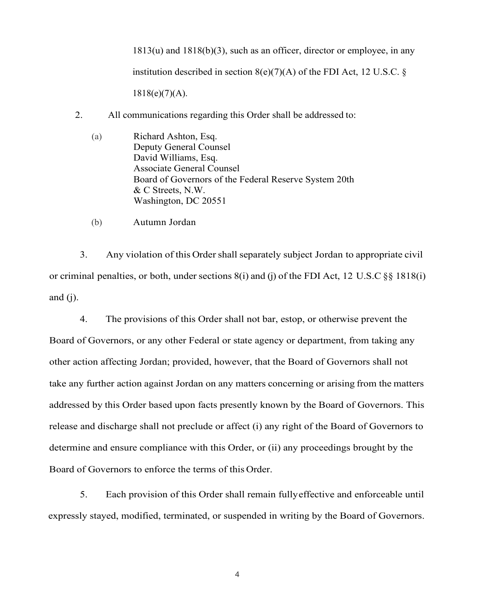1813(u) and 1818(b)(3), such as an officer, director or employee, in any institution described in section  $8(e)(7)(A)$  of the FDI Act, 12 U.S.C. §

 $1818(e)(7)(A)$ .

- 2. All communications regarding this Order shall be addressed to:
	- (a) Richard Ashton, Esq. Deputy General Counsel David Williams, Esq. Associate General Counsel Board of Governors of the Federal Reserve System 20th & C Streets, N.W. Washington, DC 20551
	- (b) Autumn Jordan

3. Any violation of this Ordershall separately subject Jordan to appropriate civil or criminal penalties, or both, under sections 8(i) and (j) of the FDI Act, 12 U.S.C §§ 1818(i) and  $(i)$ .

4. The provisions of this Order shall not bar, estop, or otherwise prevent the Board of Governors, or any other Federal or state agency or department, from taking any other action affecting Jordan; provided, however, that the Board of Governors shall not take any further action against Jordan on any matters concerning or arising from the matters addressed by this Order based upon facts presently known by the Board of Governors. This release and discharge shall not preclude or affect (i) any right of the Board of Governors to determine and ensure compliance with this Order, or (ii) any proceedings brought by the Board of Governors to enforce the terms of this Order.

5. Each provision of this Order shall remain fullyeffective and enforceable until expressly stayed, modified, terminated, or suspended in writing by the Board of Governors.

4